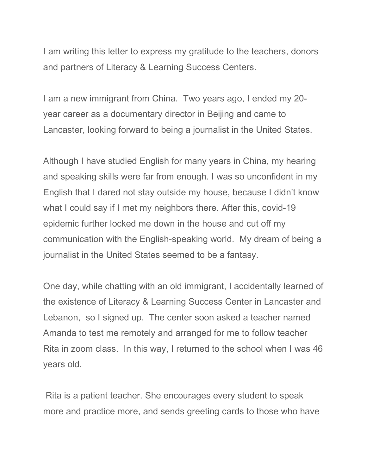I am writing this letter to express my gratitude to the teachers, donors and partners of Literacy & Learning Success Centers.

I am a new immigrant from China. Two years ago, I ended my 20 year career as a documentary director in Beijing and came to Lancaster, looking forward to being a journalist in the United States.

Although I have studied English for many years in China, my hearing and speaking skills were far from enough. I was so unconfident in my English that I dared not stay outside my house, because I didn't know what I could say if I met my neighbors there. After this, covid-19 epidemic further locked me down in the house and cut off my communication with the English-speaking world. My dream of being a journalist in the United States seemed to be a fantasy.

One day, while chatting with an old immigrant, I accidentally learned of the existence of Literacy & Learning Success Center in Lancaster and Lebanon, so I signed up. The center soon asked a teacher named Amanda to test me remotely and arranged for me to follow teacher Rita in zoom class. In this way, I returned to the school when I was 46 years old.

Rita is a patient teacher. She encourages every student to speak more and practice more, and sends greeting cards to those who have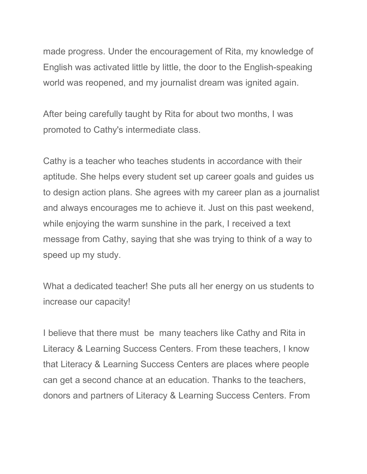made progress. Under the encouragement of Rita, my knowledge of English was activated little by little, the door to the English-speaking world was reopened, and my journalist dream was ignited again.

After being carefully taught by Rita for about two months, I was promoted to Cathy's intermediate class.

Cathy is a teacher who teaches students in accordance with their aptitude. She helps every student set up career goals and guides us to design action plans. She agrees with my career plan as a journalist and always encourages me to achieve it. Just on this past weekend, while enjoying the warm sunshine in the park, I received a text message from Cathy, saying that she was trying to think of a way to speed up my study.

What a dedicated teacher! She puts all her energy on us students to increase our capacity!

I believe that there must be many teachers like Cathy and Rita in Literacy & Learning Success Centers. From these teachers, I know that Literacy & Learning Success Centers are places where people can get a second chance at an education. Thanks to the teachers, donors and partners of Literacy & Learning Success Centers. From